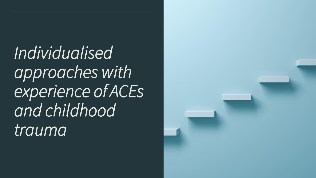*Individualised approaches with experience of ACEs and childhood trauma*

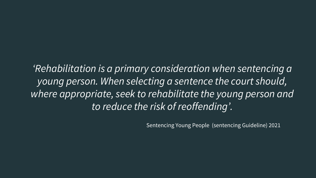*'Rehabilitation is a primary consideration when sentencing a young person. When selecting a sentence the court should, where appropriate, seek to rehabilitate the young person and to reduce the risk of reoffending'.* 

Sentencing Young People (sentencing Guideline) 2021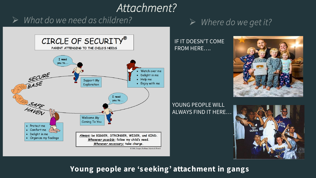# *Attachment?*

## $\triangleright$  What do we need as children?



### $\triangleright$  Where do we get it?

#### IF IT DOESN'T COME FROM HERE….



YOUNG PEOPLE WILL ALWAYS FIND IT HERE…



**Young people are 's eeking' attachment in gangs**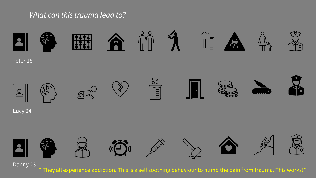### *What can this trauma lead to?*



\* They all experience addiction. This is a self soothing behaviour to numb the pain from trauma. This works!\*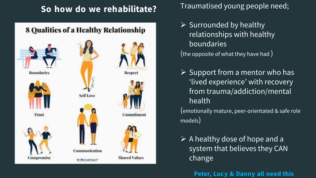# **So how do we rehabilitate?**

### 8 Qualities of a Healthy Relationship





Trust









Commitment



Traumatised young people need;

- $\triangleright$  Surrounded by healthy relationships with healthy **boundaries** (the opposite of what they have had )
- $\triangleright$  Support from a mentor who has 'lived experience' with recovery from trauma/addiction/mental health

(emotionally mature, peer-orientated & safe role models)

 $\triangleright$  A healthy dose of hope and a system that believes they CAN change

**Peter, Lucy & Danny all need this**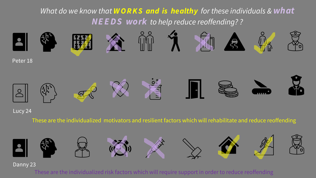*What do we know that W O R K S and is healthy for these individuals & what NE E D S work to help reduce reoffending? ?*



#### Lucy 24

These are the individualized motivators and resilient factors which will rehabilitate and reduce reoffending



Danny 23

These are the individualized risk factors which will require support in order to reduce reoffending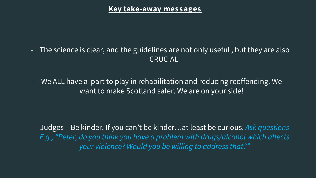#### **Key take-away mes s ages**

- The science is clear, and the guidelines are not only useful , but they are also CRUCIAL.
- We ALL have a part to play in rehabilitation and reducing reoffending. We want to make Scotland safer. We are on your side!

- Judges – Be kinder. If you can't be kinder…at least be curious. *Ask questions E.g., "Peter, do you think you have a problem with drugs/alcohol which affects your violence? Would you be willing to address that?"*